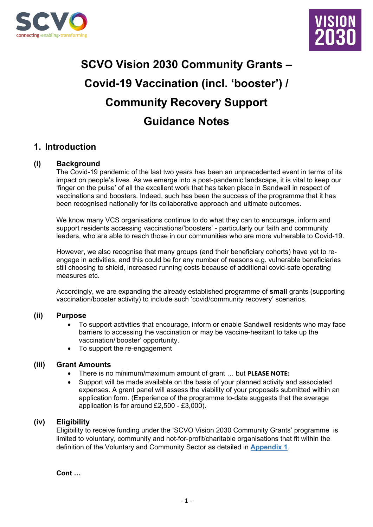



# **SCVO Vision 2030 Community Grants – Covid-19 Vaccination (incl. 'booster') / Community Recovery Support Guidance Notes**

# **1. Introduction**

### **(i) Background**

The Covid-19 pandemic of the last two years has been an unprecedented event in terms of its impact on people's lives. As we emerge into a post-pandemic landscape, it is vital to keep our 'finger on the pulse' of all the excellent work that has taken place in Sandwell in respect of vaccinations and boosters. Indeed, such has been the success of the programme that it has been recognised nationally for its collaborative approach and ultimate outcomes.

We know many VCS organisations continue to do what they can to encourage, inform and support residents accessing vaccinations/'boosters' - particularly our faith and community leaders, who are able to reach those in our communities who are more vulnerable to Covid-19.

However, we also recognise that many groups (and their beneficiary cohorts) have yet to reengage in activities, and this could be for any number of reasons e.g. vulnerable beneficiaries still choosing to shield, increased running costs because of additional covid-safe operating measures etc.

Accordingly, we are expanding the already established programme of **small** grants (supporting vaccination/booster activity) to include such 'covid/community recovery' scenarios.

#### **(ii) Purpose**

- To support activities that encourage, inform or enable Sandwell residents who may face barriers to accessing the vaccination or may be vaccine-hesitant to take up the vaccination/'booster' opportunity.
- To support the re-engagement

#### **(iii) Grant Amounts**

- There is no minimum/maximum amount of grant … but **PLEASE NOTE:**
- Support will be made available on the basis of your planned activity and associated expenses. A grant panel will assess the viability of your proposals submitted within an application form. (Experience of the programme to-date suggests that the average application is for around £2,500 - £3,000).

### **(iv) Eligibility**

Eligibility to receive funding under the 'SCVO Vision 2030 Community Grants' programme is limited to voluntary, community and not-for-profit/charitable organisations that fit within the definition of the Voluntary and Community Sector as detailed in **[Appendix 1](#page-5-0)**.

**Cont …**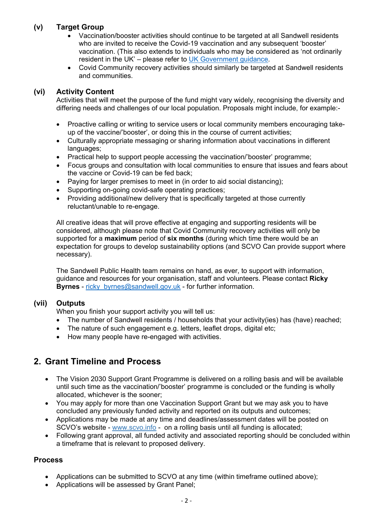# **(v) Target Group**

- Vaccination/booster activities should continue to be targeted at all Sandwell residents who are invited to receive the Covid-19 vaccination and any subsequent 'booster' vaccination. (This also extends to individuals who may be considered as 'not ordinarily resident in the UK' – please refer to [UK Government guidance.](https://www.gov.uk/guidance/nhs-entitlements-migrant-health-guide#main-messages)
- Covid Community recovery activities should similarly be targeted at Sandwell residents and communities.

### **(vi) Activity Content**

Activities that will meet the purpose of the fund might vary widely, recognising the diversity and differing needs and challenges of our local population. Proposals might include, for example:-

- Proactive calling or writing to service users or local community members encouraging takeup of the vaccine/'booster', or doing this in the course of current activities;
- Culturally appropriate messaging or sharing information about vaccinations in different languages;
- Practical help to support people accessing the vaccination/'booster' programme;
- Focus groups and consultation with local communities to ensure that issues and fears about the vaccine or Covid-19 can be fed back;
- Paying for larger premises to meet in (in order to aid social distancing);
- Supporting on-going covid-safe operating practices;
- Providing additional/new delivery that is specifically targeted at those currently reluctant/unable to re-engage.

All creative ideas that will prove effective at engaging and supporting residents will be considered, although please note that Covid Community recovery activities will only be supported for a **maximum** period of **six months** (during which time there would be an expectation for groups to develop sustainability options (and SCVO Can provide support where necessary).

The Sandwell Public Health team remains on hand, as ever, to support with information, guidance and resources for your organisation, staff and volunteers. Please contact **Ricky Byrnes** - ricky byrnes@sandwell.gov.uk - for further information.

### **(vii) Outputs**

When you finish your support activity you will tell us:

- The number of Sandwell residents / households that your activity(ies) has (have) reached;
- The nature of such engagement e.g. letters, leaflet drops, digital etc;
- How many people have re-engaged with activities.

# **2. Grant Timeline and Process**

- The Vision 2030 Support Grant Programme is delivered on a rolling basis and will be available until such time as the vaccination/'booster' programme is concluded or the funding is wholly allocated, whichever is the sooner;
- You may apply for more than one Vaccination Support Grant but we may ask you to have concluded any previously funded activity and reported on its outputs and outcomes;
- Applications may be made at any time and deadlines/assessment dates will be posted on SCVO's website - [www.scvo.info](http://www.scvo.info/) - on a rolling basis until all funding is allocated;
- Following grant approval, all funded activity and associated reporting should be concluded within a timeframe that is relevant to proposed delivery.

### **Process**

- Applications can be submitted to SCVO at any time (within timeframe outlined above);
- Applications will be assessed by Grant Panel;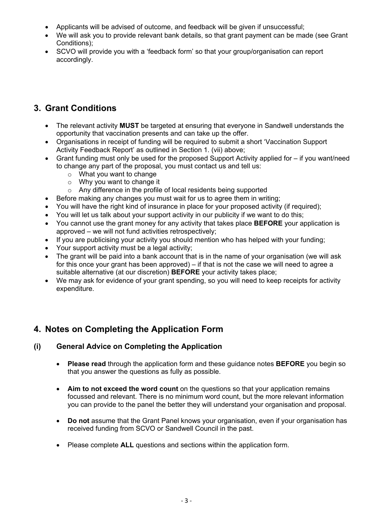- Applicants will be advised of outcome, and feedback will be given if unsuccessful;
- We will ask you to provide relevant bank details, so that grant payment can be made (see Grant Conditions);
- SCVO will provide you with a 'feedback form' so that your group/organisation can report accordingly.

# **3. Grant Conditions**

- The relevant activity **MUST** be targeted at ensuring that everyone in Sandwell understands the opportunity that vaccination presents and can take up the offer.
- Organisations in receipt of funding will be required to submit a short 'Vaccination Support Activity Feedback Report' as outlined in Section 1. (vii) above;
- Grant funding must only be used for the proposed Support Activity applied for if you want/need to change any part of the proposal, you must contact us and tell us:
	- o What you want to change
	- o Why you want to change it
	- o Any difference in the profile of local residents being supported
- Before making any changes you must wait for us to agree them in writing;
- You will have the right kind of insurance in place for your proposed activity (if required);
- You will let us talk about your support activity in our publicity if we want to do this;
- You cannot use the grant money for any activity that takes place **BEFORE** your application is approved – we will not fund activities retrospectively;
- If you are publicising your activity you should mention who has helped with your funding;
- Your support activity must be a legal activity;
- The grant will be paid into a bank account that is in the name of your organisation (we will ask for this once your grant has been approved) – if that is not the case we will need to agree a suitable alternative (at our discretion) **BEFORE** your activity takes place;
- We may ask for evidence of your grant spending, so you will need to keep receipts for activity expenditure.

# **4. Notes on Completing the Application Form**

# **(i) General Advice on Completing the Application**

- **Please read** through the application form and these guidance notes **BEFORE** you begin so that you answer the questions as fully as possible.
- **Aim to not exceed the word count** on the questions so that your application remains focussed and relevant. There is no minimum word count, but the more relevant information you can provide to the panel the better they will understand your organisation and proposal.
- **Do not** assume that the Grant Panel knows your organisation, even if your organisation has received funding from SCVO or Sandwell Council in the past.
- Please complete **ALL** questions and sections within the application form.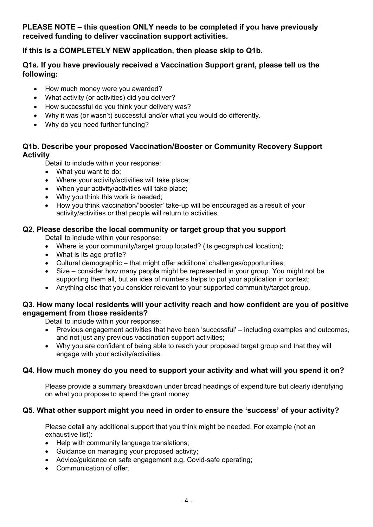**PLEASE NOTE – this question ONLY needs to be completed if you have previously received funding to deliver vaccination support activities.** 

**If this is a COMPLETELY NEW application, then please skip to Q1b.**

# **Q1a. If you have previously received a Vaccination Support grant, please tell us the following:**

- How much money were you awarded?
- What activity (or activities) did you deliver?
- How successful do you think your delivery was?
- Why it was (or wasn't) successful and/or what you would do differently.
- Why do you need further funding?

### **Q1b. Describe your proposed Vaccination/Booster or Community Recovery Support Activity**

Detail to include within your response:

- What you want to do;
- Where your activity/activities will take place;
- When your activity/activities will take place;
- Why you think this work is needed:
- How you think vaccination/'booster' take-up will be encouraged as a result of your activity/activities or that people will return to activities.

### **Q2. Please describe the local community or target group that you support**

Detail to include within your response:

- Where is your community/target group located? (its geographical location);
- What is its age profile?
- Cultural demographic that might offer additional challenges/opportunities;
- Size consider how many people might be represented in your group. You might not be supporting them all, but an idea of numbers helps to put your application in context;
- Anything else that you consider relevant to your supported community/target group.

### **Q3. How many local residents will your activity reach and how confident are you of positive engagement from those residents?**

Detail to include within your response:

- Previous engagement activities that have been 'successful' including examples and outcomes, and not just any previous vaccination support activities;
- Why you are confident of being able to reach your proposed target group and that they will engage with your activity/activities.

# **Q4. How much money do you need to support your activity and what will you spend it on?**

Please provide a summary breakdown under broad headings of expenditure but clearly identifying on what you propose to spend the grant money.

# **Q5. What other support might you need in order to ensure the 'success' of your activity?**

Please detail any additional support that you think might be needed. For example (not an exhaustive list):

- Help with community language translations;
- Guidance on managing your proposed activity;
- Advice/guidance on safe engagement e.g. Covid-safe operating;
- Communication of offer.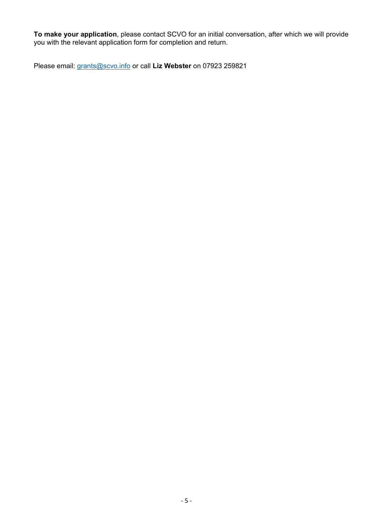**To make your application**, please contact SCVO for an initial conversation, after which we will provide you with the relevant application form for completion and return.

Please email: [grants@scvo.info](mailto:grants@scvo.info) or call **Liz Webster** on 07923 259821